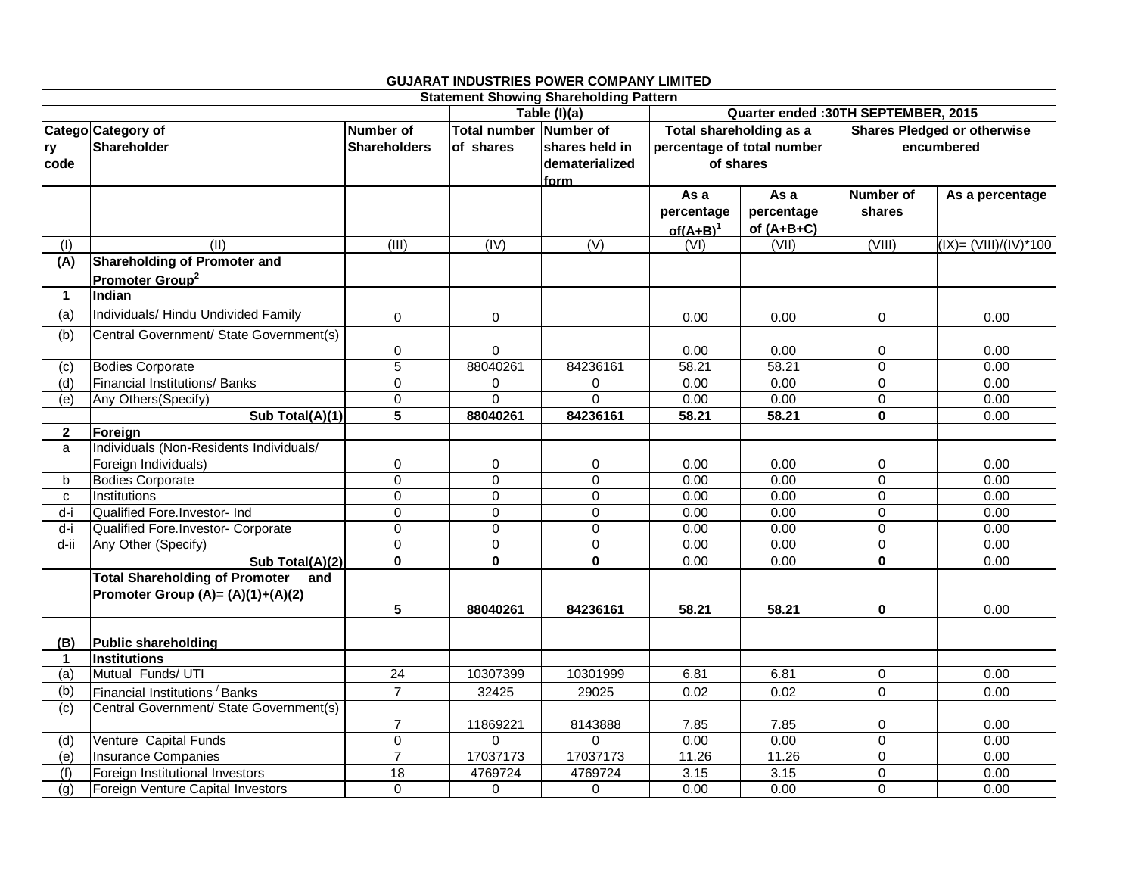| <b>GUJARAT INDUSTRIES POWER COMPANY LIMITED</b> |                                              |                                     |                |                     |                                      |                                                               |                |                           |  |  |  |
|-------------------------------------------------|----------------------------------------------|-------------------------------------|----------------|---------------------|--------------------------------------|---------------------------------------------------------------|----------------|---------------------------|--|--|--|
| <b>Statement Showing Shareholding Pattern</b>   |                                              |                                     |                |                     |                                      |                                                               |                |                           |  |  |  |
|                                                 |                                              |                                     | Table (I)(a)   |                     | Quarter ended : 30TH SEPTEMBER, 2015 |                                                               |                |                           |  |  |  |
|                                                 | Catego Category of                           | Total number Number of<br>Number of |                |                     |                                      | Total shareholding as a<br><b>Shares Pledged or otherwise</b> |                |                           |  |  |  |
| ry                                              | Shareholder                                  | <b>Shareholders</b>                 | of shares      | shares held in      | percentage of total number           |                                                               | encumbered     |                           |  |  |  |
| code                                            |                                              |                                     |                | dematerialized      | of shares                            |                                                               |                |                           |  |  |  |
|                                                 |                                              |                                     |                | form                |                                      |                                                               |                |                           |  |  |  |
|                                                 |                                              |                                     |                |                     | As a                                 | As a                                                          | Number of      | As a percentage           |  |  |  |
|                                                 |                                              |                                     |                |                     | percentage                           | percentage                                                    | shares         |                           |  |  |  |
|                                                 |                                              |                                     |                |                     | of $(A+B)^1$                         | of $(A+B+C)$                                                  |                |                           |  |  |  |
| (1)                                             | (11)                                         | (III)                               | (IV)           | (V)                 | (VI)                                 | (VII)                                                         | (VIII)         | $(IX) = (VIII)/(IV)^*100$ |  |  |  |
| (A)                                             | <b>Shareholding of Promoter and</b>          |                                     |                |                     |                                      |                                                               |                |                           |  |  |  |
|                                                 | Promoter Group <sup>2</sup>                  |                                     |                |                     |                                      |                                                               |                |                           |  |  |  |
| $\mathbf 1$                                     | Indian                                       |                                     |                |                     |                                      |                                                               |                |                           |  |  |  |
| (a)                                             | Individuals/ Hindu Undivided Family          | $\mathsf 0$                         | $\mathbf 0$    |                     | 0.00                                 | 0.00                                                          | $\mathbf 0$    | 0.00                      |  |  |  |
| (b)                                             | Central Government/ State Government(s)      |                                     |                |                     |                                      |                                                               |                |                           |  |  |  |
|                                                 |                                              | 0                                   | $\mathbf 0$    |                     | 0.00                                 | 0.00                                                          | $\mathbf 0$    | 0.00                      |  |  |  |
| (c)                                             | <b>Bodies Corporate</b>                      | $\overline{5}$                      | 88040261       | 84236161            | 58.21                                | 58.21                                                         | $\overline{0}$ | 0.00                      |  |  |  |
| (d)                                             | <b>Financial Institutions/ Banks</b>         | $\mathbf 0$                         | 0              | $\mathsf{O}\xspace$ | 0.00                                 | 0.00                                                          | $\mathbf 0$    | 0.00                      |  |  |  |
| $\overline{e}$                                  | Any Others (Specify)                         | $\mathbf 0$                         | $\Omega$       | $\Omega$            | 0.00                                 | 0.00                                                          | $\Omega$       | 0.00                      |  |  |  |
|                                                 | Sub Total(A)(1)                              | 5                                   | 88040261       | 84236161            | 58.21                                | 58.21                                                         | 0              | 0.00                      |  |  |  |
| $\mathbf{2}$                                    | Foreign                                      |                                     |                |                     |                                      |                                                               |                |                           |  |  |  |
| a                                               | Individuals (Non-Residents Individuals/      |                                     |                |                     |                                      |                                                               |                |                           |  |  |  |
|                                                 | Foreign Individuals)                         | 0                                   | 0              | 0                   | 0.00                                 | 0.00                                                          | 0              | 0.00                      |  |  |  |
| b                                               | <b>Bodies Corporate</b>                      | $\overline{0}$                      | $\mathbf 0$    | 0                   | 0.00                                 | 0.00                                                          | $\mathbf 0$    | 0.00                      |  |  |  |
| $\mathbf{C}$                                    | Institutions                                 | $\mathbf 0$                         | $\mathbf 0$    | $\Omega$            | 0.00                                 | 0.00                                                          | 0              | 0.00                      |  |  |  |
| $d-i$                                           | Qualified Fore.Investor- Ind                 | $\mathbf 0$                         | $\mathbf 0$    | $\mathbf 0$         | 0.00                                 | 0.00                                                          | $\mathbf 0$    | 0.00                      |  |  |  |
| $d-i$                                           | Qualified Fore.Investor- Corporate           | $\overline{0}$                      | $\overline{0}$ | $\overline{0}$      | 0.00                                 | 0.00                                                          | $\overline{0}$ | 0.00                      |  |  |  |
| $d$ -ii                                         | Any Other (Specify)                          | $\mathbf 0$                         | $\mathbf 0$    | 0                   | 0.00                                 | 0.00                                                          | 0              | 0.00                      |  |  |  |
|                                                 | Sub Total(A)(2)                              | $\pmb{0}$                           | $\mathbf{0}$   | $\bf{0}$            | 0.00                                 | 0.00                                                          | $\mathbf{0}$   | 0.00                      |  |  |  |
|                                                 | <b>Total Shareholding of Promoter</b><br>and |                                     |                |                     |                                      |                                                               |                |                           |  |  |  |
|                                                 | Promoter Group (A)= (A)(1)+(A)(2)            |                                     |                |                     |                                      |                                                               |                |                           |  |  |  |
|                                                 |                                              | 5                                   | 88040261       | 84236161            | 58.21                                | 58.21                                                         | 0              | 0.00                      |  |  |  |
|                                                 |                                              |                                     |                |                     |                                      |                                                               |                |                           |  |  |  |
| (B)                                             | <b>Public shareholding</b>                   |                                     |                |                     |                                      |                                                               |                |                           |  |  |  |
| $\mathbf{1}$                                    | Institutions                                 |                                     |                |                     |                                      |                                                               |                |                           |  |  |  |
| (a)                                             | Mutual Funds/ UTI                            | 24                                  | 10307399       | 10301999            | 6.81                                 | 6.81                                                          | $\mathbf 0$    | 0.00                      |  |  |  |
| (b)                                             | Financial Institutions <sup>/</sup> Banks    | $\overline{7}$                      | 32425          | 29025               | 0.02                                 | 0.02                                                          | 0              | 0.00                      |  |  |  |
| (c)                                             | Central Government/ State Government(s)      |                                     |                |                     |                                      |                                                               |                |                           |  |  |  |
|                                                 |                                              | $\overline{7}$                      | 11869221       | 8143888             | 7.85                                 | 7.85                                                          | 0              | 0.00                      |  |  |  |
| (d)                                             | Venture Capital Funds                        | $\overline{0}$                      | $\Omega$       | $\Omega$            | 0.00                                 | 0.00                                                          | $\mathbf 0$    | 0.00                      |  |  |  |
| $\overline{e}$                                  | <b>Insurance Companies</b>                   | $\overline{7}$                      | 17037173       | 17037173            | 11.26                                | 11.26                                                         | $\overline{0}$ | 0.00                      |  |  |  |
| (f)                                             | Foreign Institutional Investors              | $\overline{18}$                     | 4769724        | 4769724             | 3.15                                 | 3.15                                                          | $\mathbf 0$    | 0.00                      |  |  |  |
| (g)                                             | Foreign Venture Capital Investors            | $\Omega$                            | $\mathbf 0$    | $\mathbf 0$         | 0.00                                 | 0.00                                                          | $\mathbf 0$    | 0.00                      |  |  |  |